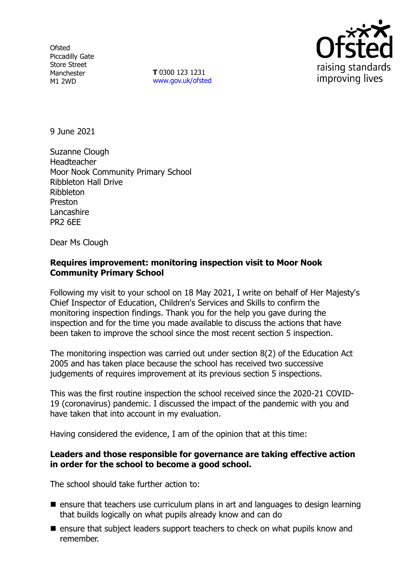**Ofsted** Piccadilly Gate Store Street Manchester M1 2WD

**T** 0300 123 1231 [www.gov.uk/ofsted](http://www.gov.uk/ofsted)



9 June 2021

Suzanne Clough Headteacher Moor Nook Community Primary School Ribbleton Hall Drive Ribbleton Preston **Lancashire** PR2 6EE

Dear Ms Clough

## **Requires improvement: monitoring inspection visit to Moor Nook Community Primary School**

Following my visit to your school on 18 May 2021, I write on behalf of Her Majesty's Chief Inspector of Education, Children's Services and Skills to confirm the monitoring inspection findings. Thank you for the help you gave during the inspection and for the time you made available to discuss the actions that have been taken to improve the school since the most recent section 5 inspection.

The monitoring inspection was carried out under section 8(2) of the Education Act 2005 and has taken place because the school has received two successive judgements of requires improvement at its previous section 5 inspections.

This was the first routine inspection the school received since the 2020-21 COVID-19 (coronavirus) pandemic. I discussed the impact of the pandemic with you and have taken that into account in my evaluation.

Having considered the evidence, I am of the opinion that at this time:

## **Leaders and those responsible for governance are taking effective action in order for the school to become a good school.**

The school should take further action to:

- $\blacksquare$  ensure that teachers use curriculum plans in art and languages to design learning that builds logically on what pupils already know and can do
- $\blacksquare$  ensure that subject leaders support teachers to check on what pupils know and remember.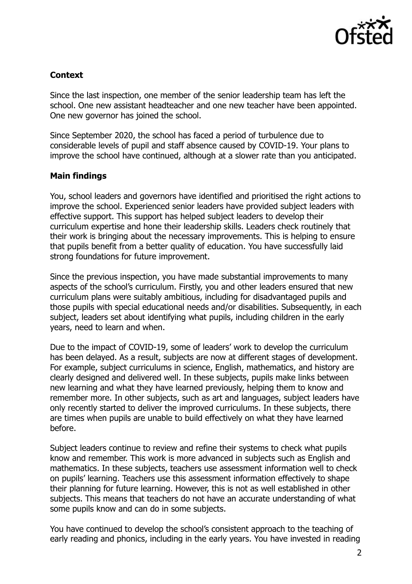

# **Context**

Since the last inspection, one member of the senior leadership team has left the school. One new assistant headteacher and one new teacher have been appointed. One new governor has joined the school.

Since September 2020, the school has faced a period of turbulence due to considerable levels of pupil and staff absence caused by COVID-19. Your plans to improve the school have continued, although at a slower rate than you anticipated.

## **Main findings**

You, school leaders and governors have identified and prioritised the right actions to improve the school. Experienced senior leaders have provided subject leaders with effective support. This support has helped subject leaders to develop their curriculum expertise and hone their leadership skills. Leaders check routinely that their work is bringing about the necessary improvements. This is helping to ensure that pupils benefit from a better quality of education. You have successfully laid strong foundations for future improvement.

Since the previous inspection, you have made substantial improvements to many aspects of the school's curriculum. Firstly, you and other leaders ensured that new curriculum plans were suitably ambitious, including for disadvantaged pupils and those pupils with special educational needs and/or disabilities. Subsequently, in each subject, leaders set about identifying what pupils, including children in the early years, need to learn and when.

Due to the impact of COVID-19, some of leaders' work to develop the curriculum has been delayed. As a result, subjects are now at different stages of development. For example, subject curriculums in science, English, mathematics, and history are clearly designed and delivered well. In these subjects, pupils make links between new learning and what they have learned previously, helping them to know and remember more. In other subjects, such as art and languages, subject leaders have only recently started to deliver the improved curriculums. In these subjects, there are times when pupils are unable to build effectively on what they have learned before.

Subject leaders continue to review and refine their systems to check what pupils know and remember. This work is more advanced in subjects such as English and mathematics. In these subjects, teachers use assessment information well to check on pupils' learning. Teachers use this assessment information effectively to shape their planning for future learning. However, this is not as well established in other subjects. This means that teachers do not have an accurate understanding of what some pupils know and can do in some subjects.

You have continued to develop the school's consistent approach to the teaching of early reading and phonics, including in the early years. You have invested in reading